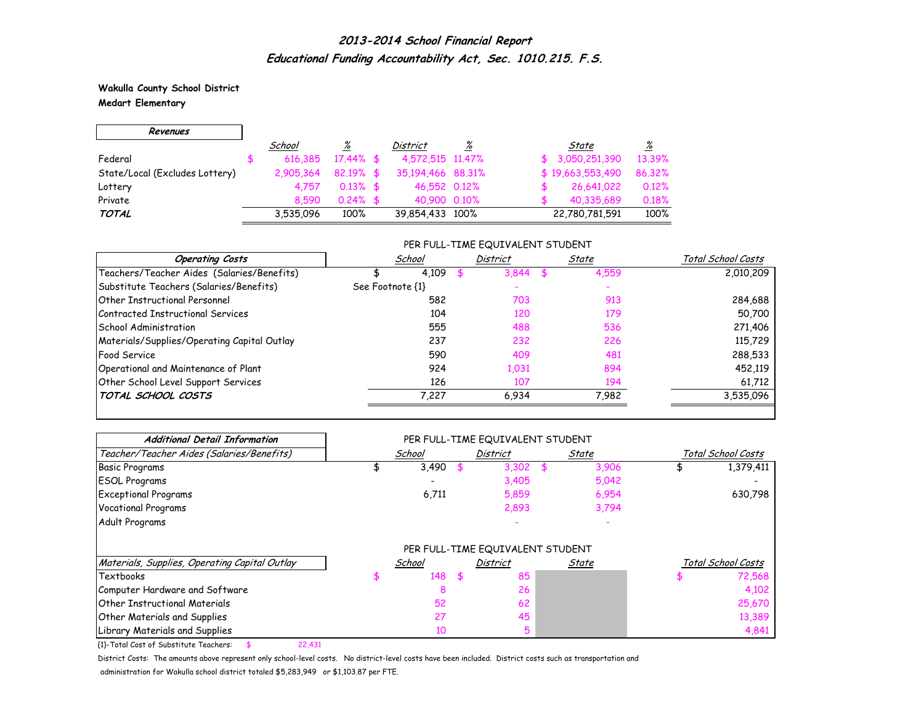**Wakulla County School District Medart Elementary**

г

| Revenues                       |           |              |                   |          |                            |
|--------------------------------|-----------|--------------|-------------------|----------|----------------------------|
|                                | School    | <u>%</u>     | District          | <u>%</u> | <u>%</u><br>State          |
| Federal                        | 616.385   | $17.44\%$ \$ | 4,572,515 11,47%  |          | 13.39%<br>\$3,050,251,390  |
| State/Local (Excludes Lottery) | 2.905.364 | $82.19%$ \$  | 35,194,466 88,31% |          | \$19,663,553,490<br>86.32% |
| Lottery                        | 4.757     | $0.13\%$ \$  | 46,552 0.12%      |          | 0.12%<br>26,641,022        |
| Private                        | 8.590     | $0.24\%$ \$  | 40.900 0.10%      |          | 0.18%<br>40.335.689        |
| <b>TOTAL</b>                   | 3,535,096 | 100%         | 39,854,433 100%   |          | 100%<br>22,780,781,591     |

#### PER FULL-TIME EQUIVALENT STUDENT

| <b>Operating Costs</b>                      | School           | <b>District</b> | State | Total School Costs |
|---------------------------------------------|------------------|-----------------|-------|--------------------|
| Teachers/Teacher Aides (Salaries/Benefits)  | 4.109            | 3.844           | 4,559 | 2,010,209          |
| Substitute Teachers (Salaries/Benefits)     | See Footnote {1} |                 |       |                    |
| Other Instructional Personnel               | 582              | 703             | 913   | 284,688            |
| Contracted Instructional Services           | 104              | 120             | 179   | 50,700             |
| School Administration                       | 555              | 488             | 536   | 271,406            |
| Materials/Supplies/Operating Capital Outlay | 237              | 232             | 226   | 115,729            |
| <b>Food Service</b>                         | 590              | 409             | 481   | 288,533            |
| Operational and Maintenance of Plant        | 924              | 1,031           | 894   | 452,119            |
| Other School Level Support Services         | 126              | 107             | 194   | 61,712             |
| TOTAL SCHOOL COSTS                          | 7,227            | 6,934           | 7,982 | 3,535,096          |

| <b>Additional Detail Information</b>          |        |      | PER FULL-TIME EQUIVALENT STUDENT |       |                    |
|-----------------------------------------------|--------|------|----------------------------------|-------|--------------------|
| Teacher/Teacher Aides (Salaries/Benefits)     | School |      | <b>District</b>                  | State | Total School Costs |
| <b>Basic Programs</b>                         | 3,490  |      | 3,302                            | 3,906 | 1,379,411          |
| <b>ESOL Programs</b>                          |        |      | 3,405                            | 5,042 |                    |
| <b>Exceptional Programs</b>                   | 6,711  |      | 5,859                            | 6,954 | 630,798            |
| <b>Vocational Programs</b>                    |        |      | 2,893                            | 3,794 |                    |
| Adult Programs                                |        |      |                                  |       |                    |
|                                               |        |      | PER FULL-TIME EQUIVALENT STUDENT |       |                    |
| Materials, Supplies, Operating Capital Outlay | School |      | District                         | State | Total School Costs |
| Textbooks                                     | 148    | - \$ | 85                               |       | 72,568             |
| Computer Hardware and Software                | 8      |      | 26                               |       | 4,102              |
| <b>Other Instructional Materials</b>          | 52     |      | 62                               |       | 25,670             |
| <b>Other Materials and Supplies</b>           | 27     |      | 45                               |       | 13,389             |
| Library Materials and Supplies                | 10     |      | 5                                |       | 4,841              |

{1}-Total Cost of Substitute Teachers: \$ 22,431

District Costs: The amounts above represent only school-level costs. No district-level costs have been included. District costs such as transportation and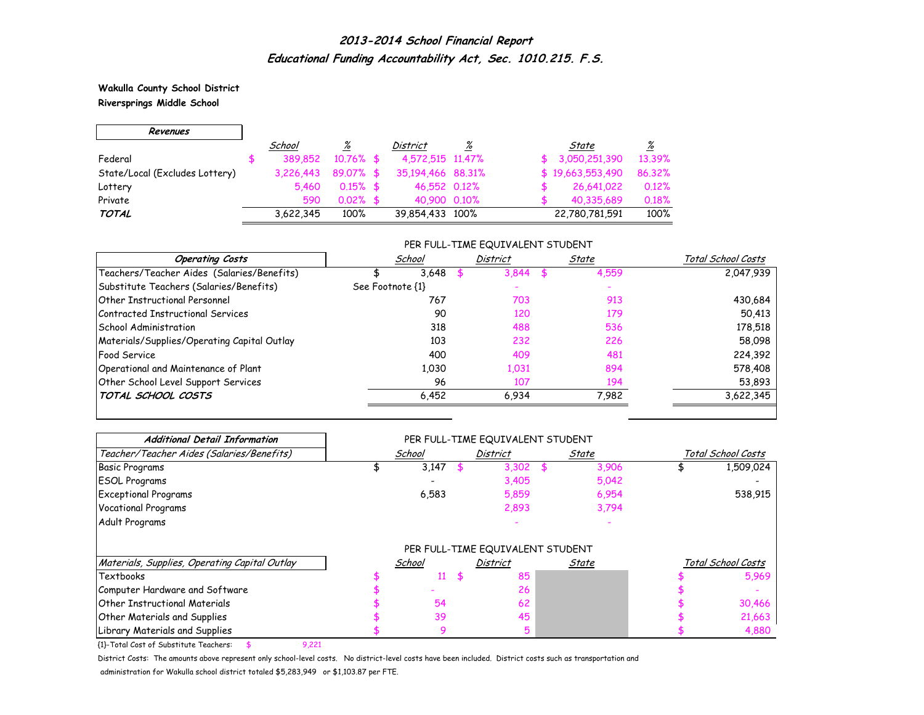**Wakulla County School District Riversprings Middle School**

 $\Gamma$ 

 $\overline{\phantom{0}}$ 

| Revenues                       |           |              |                   |   |                  |          |
|--------------------------------|-----------|--------------|-------------------|---|------------------|----------|
|                                | School    | <u>%</u>     | District          | ℅ | State            | <u>%</u> |
| Federal                        | 389.852   | $10.76\%$ \$ | 4,572,515 11,47%  |   | \$3.050.251.390  | 13.39%   |
| State/Local (Excludes Lottery) | 3,226,443 | 89.07% \$    | 35,194,466 88,31% |   | \$19,663,553,490 | 86.32%   |
| Lottery                        | 5.460     | $0.15\%$ \$  | 46,552 0.12%      |   | 26,641,022       | 0.12%    |
| Private                        | 590       | $0.02\%$ \$  | 40,900 0.10%      |   | 40,335,689       | 0.18%    |
| <b>TOTAL</b>                   | 3,622,345 | 100%         | 39,854,433 100%   |   | 22,780,781,591   | 100%     |

#### PER FULL-TIME EQUIVALENT STUDENT

| <b>Operating Costs</b>                      | School           | District | State | Total School Costs |
|---------------------------------------------|------------------|----------|-------|--------------------|
| Teachers/Teacher Aides (Salaries/Benefits)  | 3,648            | 3.844    | 4,559 | 2,047,939          |
| Substitute Teachers (Salaries/Benefits)     | See Footnote {1} |          |       |                    |
| Other Instructional Personnel               | 767              | 703      | 913   | 430,684            |
| Contracted Instructional Services           | 90               | 120      | 179   | 50,413             |
| School Administration                       | 318              | 488      | 536   | 178,518            |
| Materials/Supplies/Operating Capital Outlay | 103              | 232      | 226   | 58,098             |
| <b>Food Service</b>                         | 400              | 409      | 481   | 224,392            |
| Operational and Maintenance of Plant        | 1,030            | 1,031    | 894   | 578,408            |
| Other School Level Support Services         | 96               | 107      | 194   | 53,893             |
| TOTAL SCHOOL COSTS                          | 6.452            | 6.934    | 7,982 | 3,622,345          |

| <b>Additional Detail Information</b>          |        | PER FULL-TIME EQUIVALENT STUDENT |       |                    |                    |
|-----------------------------------------------|--------|----------------------------------|-------|--------------------|--------------------|
| Teacher/Teacher Aides (Salaries/Benefits)     | School | <b>District</b>                  | State |                    | Total School Costs |
| <b>Basic Programs</b>                         | 3,147  | 3,302                            | 3,906 |                    | 1,509,024          |
| <b>ESOL Programs</b>                          |        | 3,405                            | 5,042 |                    |                    |
| <b>Exceptional Programs</b>                   | 6,583  | 5,859                            | 6,954 |                    | 538,915            |
| Vocational Programs                           |        | 2,893                            | 3,794 |                    |                    |
| Adult Programs                                |        |                                  |       |                    |                    |
|                                               |        | PER FULL-TIME EQUIVALENT STUDENT |       |                    |                    |
| Materials, Supplies, Operating Capital Outlay | School | <b>District</b>                  | State | Total School Costs |                    |
| Textbooks                                     | 11     | 85                               |       |                    | 5,969              |
| Computer Hardware and Software                |        | 26                               |       |                    |                    |
| <b>Other Instructional Materials</b>          | 54     | 62                               |       |                    | 30,466             |
| <b>Other Materials and Supplies</b>           | 39     | 45                               |       |                    | 21,663             |
| Library Materials and Supplies                |        |                                  |       |                    | 4,880              |

{1}-Total Cost of Substitute Teachers: \$ 9,221

District Costs: The amounts above represent only school-level costs. No district-level costs have been included. District costs such as transportation and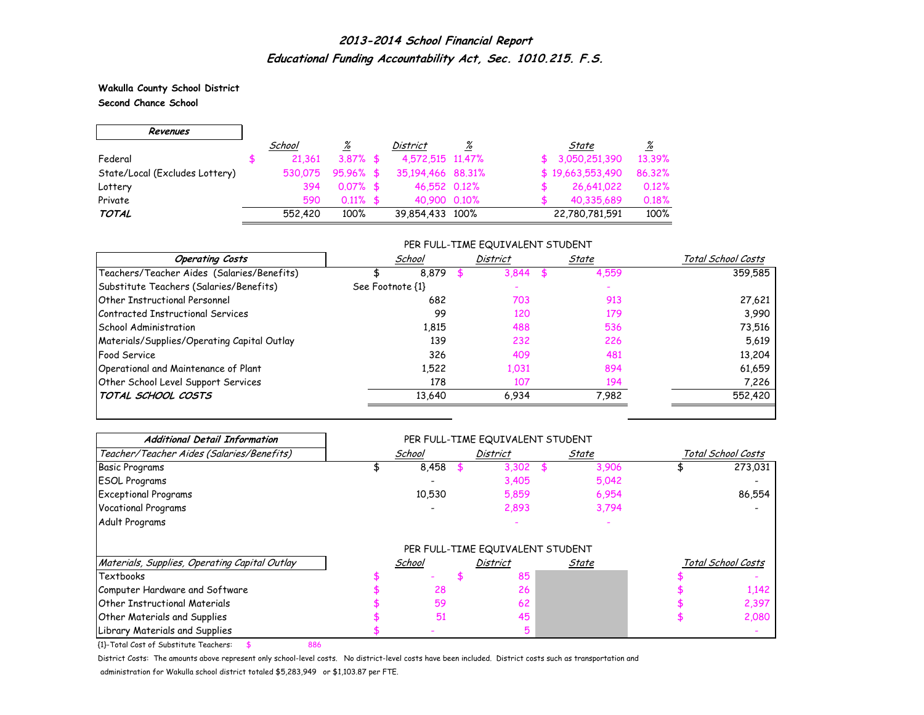**Wakulla County School District Second Chance School**

г

| Revenues                       |         |             |                   |   |    |                  |          |
|--------------------------------|---------|-------------|-------------------|---|----|------------------|----------|
|                                | School  | <u>%</u>    | District          | % |    | State            | <u>%</u> |
| Federal                        | 21.361  | $3.87\%$ \$ | 4,572,515 11,47%  |   | Æ. | 3,050,251,390    | 13.39%   |
| State/Local (Excludes Lottery) | 530.075 | $95.96%$ \$ | 35,194,466 88,31% |   |    | \$19,663,553,490 | 86,32%   |
| Lottery                        | 394     | $0.07\%$ \$ | 46,552 0.12%      |   |    | 26,641,022       | 0.12%    |
| Private                        | 590     | $0.11\%$ \$ | 40.900 0.10%      |   |    | 40,335,689       | 0.18%    |
| <b>TOTAL</b>                   | 552,420 | 100%        | 39,854,433 100%   |   |    | 22,780,781,591   | 100%     |

#### PER FULL-TIME EQUIVALENT STUDENT

| <b>Operating Costs</b>                      | School           | District | State | Total School Costs |
|---------------------------------------------|------------------|----------|-------|--------------------|
| Teachers/Teacher Aides (Salaries/Benefits)  | 8.879            | 3,844    | 4,559 | 359.585            |
| Substitute Teachers (Salaries/Benefits)     | See Footnote {1} |          |       |                    |
| Other Instructional Personnel               | 682              | 703      | 913   | 27,621             |
| Contracted Instructional Services           | 99               | 120      | 179   | 3,990              |
| School Administration                       | 1.815            | 488      | 536   | 73,516             |
| Materials/Supplies/Operating Capital Outlay | 139              | 232      | 226   | 5,619              |
| <b>Food Service</b>                         | 326              | 409      | 481   | 13,204             |
| Operational and Maintenance of Plant        | 1,522            | 1,031    | 894   | 61,659             |
| Other School Level Support Services         | 178              | 107      | 194   | 7,226              |
| TOTAL SCHOOL COSTS                          | 13,640           | 6.934    | 7,982 | 552,420            |

| <b>Additional Detail Information</b>          |        | PER FULL-TIME EQUIVALENT STUDENT |       |       |                    |
|-----------------------------------------------|--------|----------------------------------|-------|-------|--------------------|
| Teacher/Teacher Aides (Salaries/Benefits)     | School | District                         |       | State | Total School Costs |
| <b>Basic Programs</b>                         | 8,458  |                                  | 3,302 | 3,906 | 273,031            |
| <b>ESOL Programs</b>                          |        |                                  | 3,405 | 5,042 |                    |
| <b>Exceptional Programs</b>                   | 10,530 |                                  | 5,859 | 6,954 | 86,554             |
| <b>Vocational Programs</b>                    |        |                                  | 2,893 | 3,794 |                    |
| Adult Programs                                |        |                                  |       |       |                    |
|                                               |        | PER FULL-TIME EQUIVALENT STUDENT |       |       |                    |
| Materials, Supplies, Operating Capital Outlay | School | <b>District</b>                  |       | State | Total School Costs |
| Textbooks                                     |        |                                  | 85    |       |                    |
| Computer Hardware and Software                | 28     |                                  | 26    |       | 1,142              |
| Other Instructional Materials                 | 59     |                                  | 62    |       | 2,397              |
| <b>Other Materials and Supplies</b>           | 51     |                                  | 45    |       | 2,080              |
| Library Materials and Supplies                |        |                                  |       |       |                    |

{1}-Total Cost of Substitute Teachers: \$ 886

District Costs: The amounts above represent only school-level costs. No district-level costs have been included. District costs such as transportation and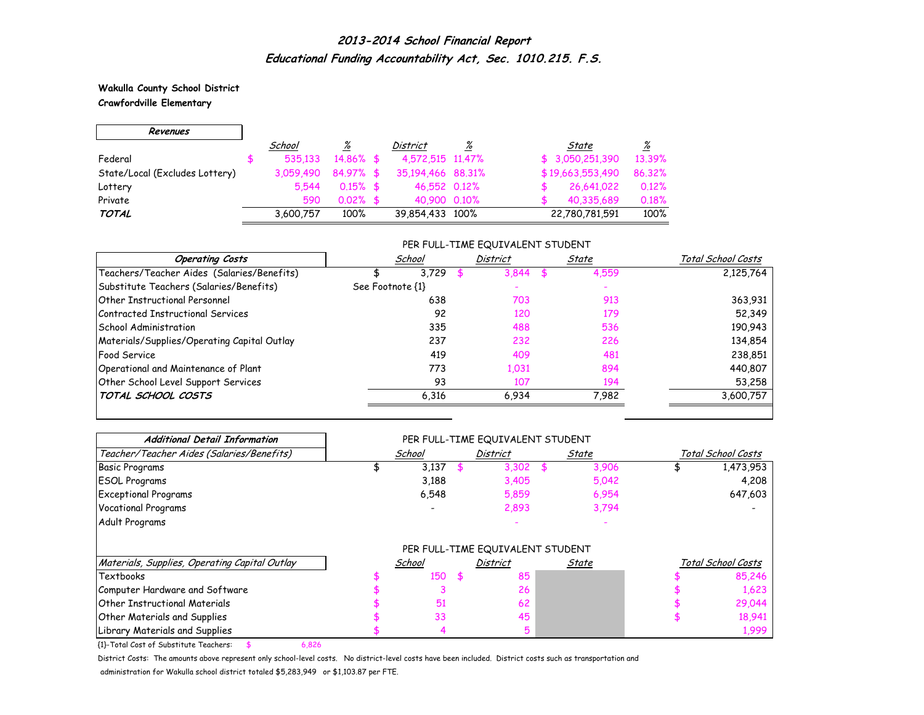#### **Wakulla County School District Crawfordville Elementary**

г

| Revenues                       |           |              |                   |          |                  |          |
|--------------------------------|-----------|--------------|-------------------|----------|------------------|----------|
|                                | School    | <u>%</u>     | District          | <u>%</u> | State            | <u>%</u> |
| Federal                        | 535.133   | $14.86\%$ \$ | 4,572,515 11,47%  |          | \$3,050,251,390  | 13.39%   |
| State/Local (Excludes Lottery) | 3.059.490 | $84.97\%$ \$ | 35,194,466 88,31% |          | \$19,663,553,490 | 86.32%   |
| Lottery                        | 5.544     | $0.15\%$ \$  | 46.552 0.12%      |          | 26,641,022       | 0.12%    |
| Private                        | 590       | $0.02\%$ \$  | 40,900 0.10%      |          | 40,335,689       | 0.18%    |
| TOTAL                          | 3,600,757 | 100%         | 39,854,433 100%   |          | 22,780,781,591   | 100%     |

#### PER FULL-TIME EQUIVALENT STUDENT

| <b>Operating Costs</b>                      | School           | District | State | Total School Costs |
|---------------------------------------------|------------------|----------|-------|--------------------|
| Teachers/Teacher Aides (Salaries/Benefits)  | 3.729            | 3.844    | 4,559 | 2,125,764          |
| Substitute Teachers (Salaries/Benefits)     | See Footnote {1} |          |       |                    |
| Other Instructional Personnel               | 638              | 703      | 913   | 363,931            |
| Contracted Instructional Services           | 92               | 120      | 179   | 52,349             |
| School Administration                       | 335              | 488      | 536   | 190,943            |
| Materials/Supplies/Operating Capital Outlay | 237              | 232      | 226   | 134,854            |
| <b>Food Service</b>                         | 419              | 409      | 481   | 238,851            |
| Operational and Maintenance of Plant        | 773              | 1,031    | 894   | 440,807            |
| Other School Level Support Services         | 93               | 107      | 194   | 53,258             |
| TOTAL SCHOOL COSTS                          | 6.316            | 6.934    | 7.982 | 3,600,757          |

| <b>Additional Detail Information</b>          |                          |      | PER FULL-TIME EQUIVALENT STUDENT |       |                    |
|-----------------------------------------------|--------------------------|------|----------------------------------|-------|--------------------|
| Teacher/Teacher Aides (Salaries/Benefits)     | School                   |      | <b>District</b>                  | State | Total School Costs |
| <b>Basic Programs</b>                         | 3,137                    |      | 3,302                            | 3,906 | 1,473,953          |
| <b>ESOL Programs</b>                          | 3,188                    |      | 3,405                            | 5,042 | 4,208              |
| <b>Exceptional Programs</b>                   | 6,548                    |      | 5,859                            | 6,954 | 647,603            |
| <b>Vocational Programs</b>                    | $\overline{\phantom{0}}$ |      | 2,893                            | 3,794 |                    |
| Adult Programs                                |                          |      |                                  |       |                    |
|                                               |                          |      | PER FULL-TIME EQUIVALENT STUDENT |       |                    |
| Materials, Supplies, Operating Capital Outlay | School                   |      | District                         | State | Total School Costs |
| Textbooks                                     | 150                      | - \$ | 85                               |       | 85,246             |
| Computer Hardware and Software                |                          |      | 26                               |       | 1,623              |
| Other Instructional Materials                 | 51                       |      | 62                               |       | 29,044             |
| Other Materials and Supplies                  | 33                       |      | 45                               |       | 18,941             |
| Library Materials and Supplies                |                          |      |                                  |       | 1,999              |

{1}-Total Cost of Substitute Teachers: \$ 6,826

District Costs: The amounts above represent only school-level costs. No district-level costs have been included. District costs such as transportation and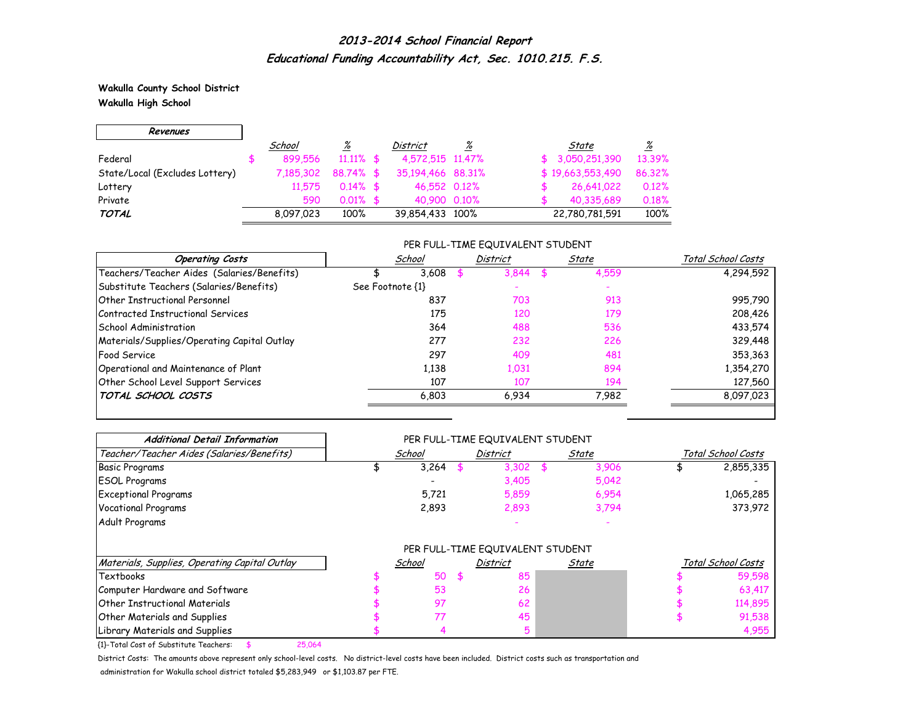**Wakulla County School District Wakulla High School**

г

| Revenues                       |           |              |                   |          |                  |          |
|--------------------------------|-----------|--------------|-------------------|----------|------------------|----------|
|                                | School    | <u>%</u>     | <b>District</b>   | <u>%</u> | State            | <u>%</u> |
| Federal                        | 899.556   | $11.11\%$ \$ | 4,572,515 11,47%  |          | \$3,050,251,390  | 13.39%   |
| State/Local (Excludes Lottery) | 7,185,302 | 88.74% \$    | 35,194,466 88,31% |          | \$19,663,553,490 | 86.32%   |
| Lottery                        | 11.575    | $0.14\%$ \$  | 46,552 0.12%      |          | 26,641,022       | 0.12%    |
| Private                        | 590       | $0.01\%$ \$  | 40.900 0.10%      |          | 40.335.689       | 0.18%    |
| <b>TOTAL</b>                   | 8,097,023 | 100%         | 39,854,433 100%   |          | 22,780,781,591   | 100%     |

#### PER FULL-TIME EQUIVALENT STUDENT

| <b>Operating Costs</b>                      | School           | <b>District</b> | State | Total School Costs |
|---------------------------------------------|------------------|-----------------|-------|--------------------|
| Teachers/Teacher Aides (Salaries/Benefits)  | 3.608            | 3.844           | 4,559 | 4,294,592          |
| Substitute Teachers (Salaries/Benefits)     | See Footnote {1} |                 |       |                    |
| Other Instructional Personnel               | 837              | 703             | 913   | 995,790            |
| Contracted Instructional Services           | 175              | 120             | 179   | 208,426            |
| School Administration                       | 364              | 488             | 536   | 433,574            |
| Materials/Supplies/Operating Capital Outlay | 277              | 232             | 226   | 329,448            |
| <b>Food Service</b>                         | 297              | 409             | 481   | 353,363            |
| Operational and Maintenance of Plant        | 1,138            | 1,031           | 894   | 1,354,270          |
| Other School Level Support Services         | 107              | 107             | 194   | 127,560            |
| TOTAL SCHOOL COSTS                          | 6,803            | 6.934           | 7,982 | 8,097,023          |

| <b>Additional Detail Information</b>          |        | PER FULL-TIME EQUIVALENT STUDENT |       |                    |
|-----------------------------------------------|--------|----------------------------------|-------|--------------------|
| Teacher/Teacher Aides (Salaries/Benefits)     | School | <b>District</b>                  | State | Total School Costs |
| <b>Basic Programs</b>                         | 3,264  | 3,302                            | 3,906 | 2,855,335          |
| <b>ESOL Programs</b>                          |        | 3,405                            | 5,042 |                    |
| <b>Exceptional Programs</b>                   | 5,721  | 5,859                            | 6,954 | 1,065,285          |
| <b>Vocational Programs</b>                    | 2,893  | 2,893                            | 3,794 | 373,972            |
| Adult Programs                                |        |                                  |       |                    |
|                                               |        | PER FULL-TIME EQUIVALENT STUDENT |       |                    |
| Materials, Supplies, Operating Capital Outlay | School | <b>District</b>                  | State | Total School Costs |
| Textbooks                                     | 50     | 85                               |       | 59,598             |
| Computer Hardware and Software                | 53     | 26                               |       | 63,417             |
| <b>Other Instructional Materials</b>          | 97     | 62                               |       | 114,895            |
| <b>Other Materials and Supplies</b>           | 77     | 45                               |       | 91,538             |
| Library Materials and Supplies                |        |                                  |       | 4,955              |

{1}-Total Cost of Substitute Teachers: \$ 25,064

District Costs: The amounts above represent only school-level costs. No district-level costs have been included. District costs such as transportation and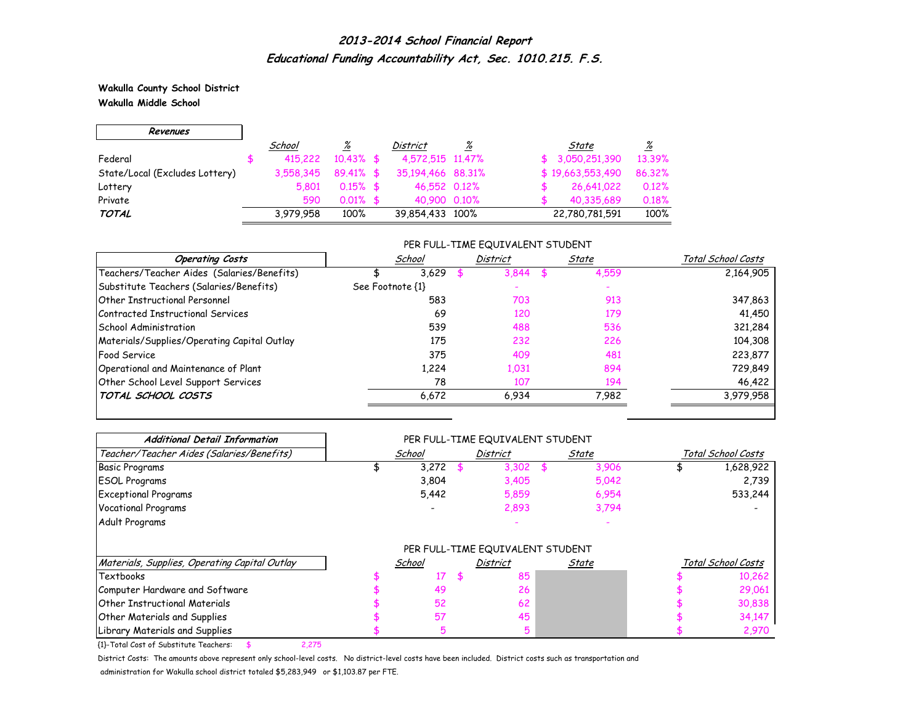**Wakulla County School District Wakulla Middle School**

 $\Gamma$ 

 $\overline{\phantom{0}}$ 

| Revenues                       |           |              |                   |   |                  |          |
|--------------------------------|-----------|--------------|-------------------|---|------------------|----------|
|                                | School    | <u>%</u>     | District          | ℅ | State            | <u>%</u> |
| Federal                        | 415,222   | $10.43\%$ \$ | 4,572,515 11,47%  |   | \$3,050,251,390  | 13.39%   |
| State/Local (Excludes Lottery) | 3.558.345 | $89.41\%$ \$ | 35,194,466 88,31% |   | \$19,663,553,490 | 86.32%   |
| Lottery                        | 5.801     | $0.15\%$ \$  | 46,552 0.12%      |   | 26,641,022       | 0.12%    |
| Private                        | 590       | $0.01\%$ \$  | 40.900 0.10%      |   | 40,335,689       | 0.18%    |
| <b>TOTAL</b>                   | 3,979,958 | 100%         | 39,854,433 100%   |   | 22,780,781,591   | 100%     |

### PER FULL-TIME EQUIVALENT STUDENT

| <b>Operating Costs</b>                      | School           | <b>District</b> | State | Total School Costs |
|---------------------------------------------|------------------|-----------------|-------|--------------------|
| Teachers/Teacher Aides (Salaries/Benefits)  | 3,629            | 3,844           | 4,559 | 2,164,905          |
| Substitute Teachers (Salaries/Benefits)     | See Footnote {1} |                 |       |                    |
| Other Instructional Personnel               | 583              | 703             | 913   | 347,863            |
| Contracted Instructional Services           | 69               | 120             | 179   | 41,450             |
| School Administration                       | 539              | 488             | 536   | 321,284            |
| Materials/Supplies/Operating Capital Outlay | 175              | 232             | 226   | 104,308            |
| <b>Food Service</b>                         | 375              | 409             | 481   | 223,877            |
| Operational and Maintenance of Plant        | 1,224            | 1,031           | 894   | 729,849            |
| Other School Level Support Services         | 78               | 107             | 194   | 46,422             |
| TOTAL SCHOOL COSTS                          | 6.672            | 6.934           | 7,982 | 3,979,958          |

| <b>Additional Detail Information</b>          |        | PER FULL-TIME EQUIVALENT STUDENT |       |                    |
|-----------------------------------------------|--------|----------------------------------|-------|--------------------|
| Teacher/Teacher Aides (Salaries/Benefits)     | School | District                         | State | Total School Costs |
| <b>Basic Programs</b>                         | 3,272  | 3,302                            | 3,906 | 1,628,922          |
| <b>ESOL Programs</b>                          | 3,804  | 3,405                            | 5,042 | 2,739              |
| <b>Exceptional Programs</b>                   | 5,442  | 5,859                            | 6,954 | 533,244            |
| <b>Vocational Programs</b>                    |        | 2,893                            | 3,794 |                    |
| Adult Programs                                |        |                                  |       |                    |
|                                               |        | PER FULL-TIME EQUIVALENT STUDENT |       |                    |
| Materials, Supplies, Operating Capital Outlay | School | District                         | State | Total School Costs |
| Textbooks                                     | 17     | 85                               |       | 10,262             |
| Computer Hardware and Software                | 49     | 26                               |       | 29,061             |
| <b>Other Instructional Materials</b>          | 52     | 62                               |       | 30,838             |
| Other Materials and Supplies                  | 57     | 45                               |       | 34,147             |
| Library Materials and Supplies                |        |                                  |       | 2,970              |

{1}-Total Cost of Substitute Teachers: \$ 2,275

District Costs: The amounts above represent only school-level costs. No district-level costs have been included. District costs such as transportation and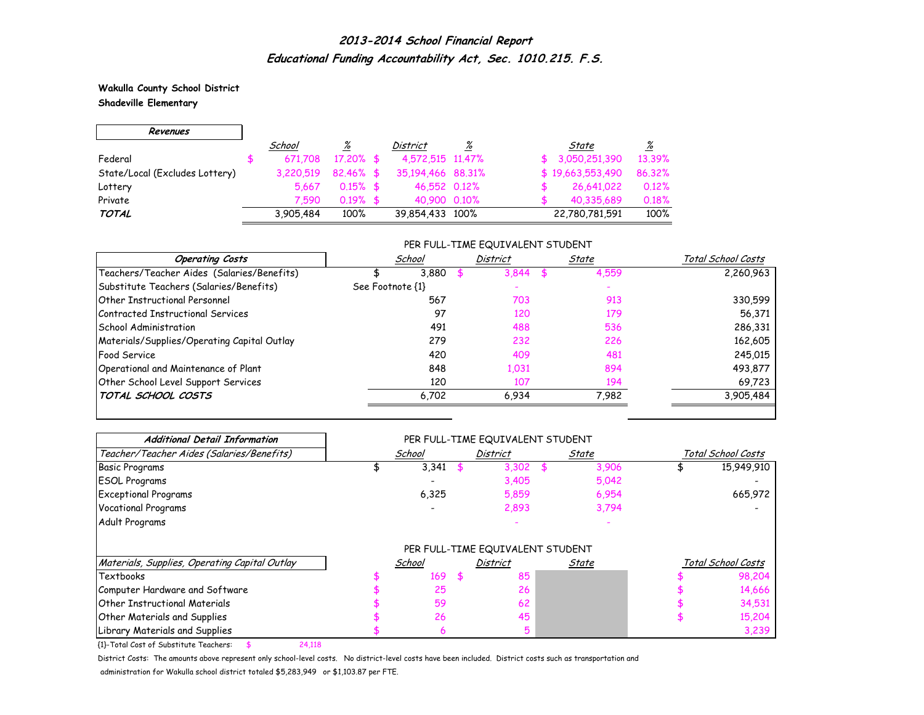**Wakulla County School District Shadeville Elementary**

г

| Revenues                       |           |              |                   |          |                  |          |
|--------------------------------|-----------|--------------|-------------------|----------|------------------|----------|
|                                | School    | <u>%</u>     | <b>District</b>   | <u>%</u> | State            | <u>%</u> |
| Federal                        | 671.708   | $17.20\%$ \$ | 4,572,515 11,47%  |          | \$3,050,251,390  | 13.39%   |
| State/Local (Excludes Lottery) | 3.220.519 | $82.46\%$ \$ | 35,194,466 88,31% |          | \$19,663,553,490 | 86.32%   |
| Lottery                        | 5.667     | $0.15\%$ \$  | 46,552 0.12%      |          | 26,641,022       | 0.12%    |
| Private                        | 7.590     | $0.19%$ \$   | 40,900 0.10%      |          | 40,335,689       | 0.18%    |
| <b>TOTAL</b>                   | 3.905.484 | 100%         | 39,854,433 100%   |          | 22,780,781,591   | 100%     |

#### PER FULL-TIME EQUIVALENT STUDENT

| <b>Operating Costs</b>                      | School           | <b>District</b> | State | Total School Costs |
|---------------------------------------------|------------------|-----------------|-------|--------------------|
| Teachers/Teacher Aides (Salaries/Benefits)  | 3.880            | 3,844           | 4,559 | 2,260,963          |
| Substitute Teachers (Salaries/Benefits)     | See Footnote {1} |                 |       |                    |
| Other Instructional Personnel               | 567              | 703             | 913   | 330,599            |
| Contracted Instructional Services           | 97               | 120             | 179   | 56,371             |
| School Administration                       | 491              | 488             | 536   | 286,331            |
| Materials/Supplies/Operating Capital Outlay | 279              | 232             | 226   | 162,605            |
| <b>Food Service</b>                         | 420              | 409             | 481   | 245,015            |
| Operational and Maintenance of Plant        | 848              | 1,031           | 894   | 493,877            |
| Other School Level Support Services         | 120              | 107             | 194   | 69,723             |
| TOTAL SCHOOL COSTS                          | 6,702            | 6,934           | 7,982 | 3,905,484          |

| <b>Additional Detail Information</b>          |        |      | PER FULL-TIME EQUIVALENT STUDENT |              |                    |
|-----------------------------------------------|--------|------|----------------------------------|--------------|--------------------|
| Teacher/Teacher Aides (Salaries/Benefits)     | School |      | <b>District</b>                  | <u>State</u> | Total School Costs |
| <b>Basic Programs</b>                         | 3,341  |      | 3,302                            | 3,906        | 15,949,910         |
| <b>ESOL Programs</b>                          |        |      | 3,405                            | 5,042        |                    |
| <b>Exceptional Programs</b>                   | 6,325  |      | 5,859                            | 6,954        | 665,972            |
| <b>Vocational Programs</b>                    |        |      | 2,893                            | 3,794        |                    |
| Adult Programs                                |        |      |                                  |              |                    |
|                                               |        |      | PER FULL-TIME EQUIVALENT STUDENT |              |                    |
| Materials, Supplies, Operating Capital Outlay | School |      | District                         | State        | Total School Costs |
| Textbooks                                     | 169    | - \$ | 85                               |              | 98,204             |
| Computer Hardware and Software                | 25     |      | 26                               |              | 14,666             |
| Other Instructional Materials                 | 59     |      | 62                               |              | 34,531             |
| Other Materials and Supplies                  | 26     |      | 45                               |              | 15,204             |
| Library Materials and Supplies                |        |      |                                  |              | 3,239              |

{1}-Total Cost of Substitute Teachers: \$ 24,118

District Costs: The amounts above represent only school-level costs. No district-level costs have been included. District costs such as transportation and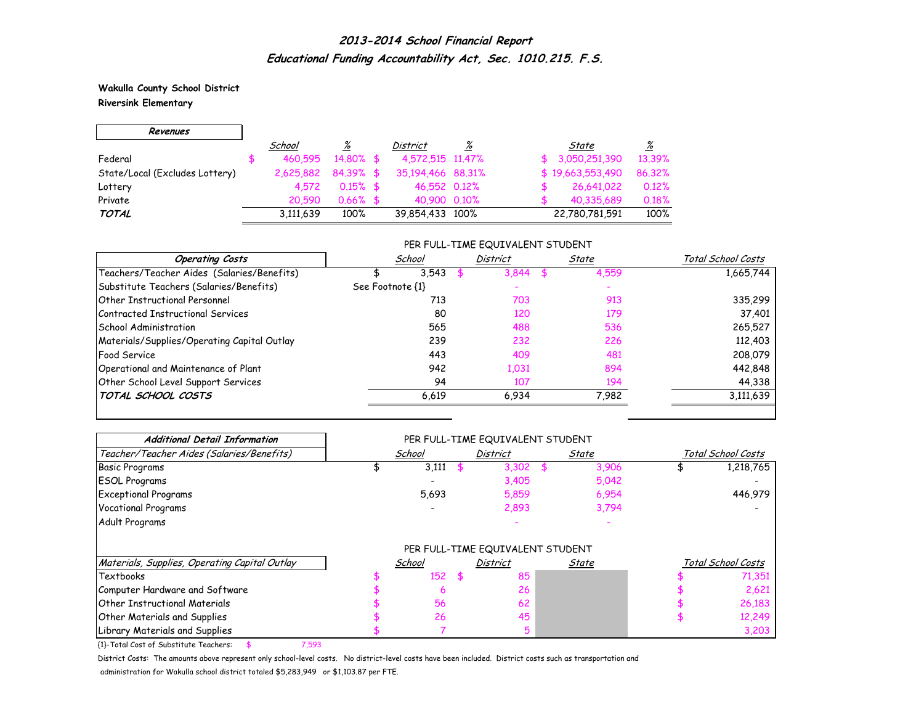**Wakulla County School District Riversink Elementary**

 $\Gamma$ 

 $\overline{\phantom{0}}$ 

| Revenues                       |           |             |                   |          |     |                  |          |
|--------------------------------|-----------|-------------|-------------------|----------|-----|------------------|----------|
|                                | School    | <u>%</u>    | District          | <u>%</u> |     | State            | <u>%</u> |
| Federal                        | 460.595   | 14,80% \$   | 4,572,515 11,47%  |          | .ST | 3,050,251,390    | 13.39%   |
| State/Local (Excludes Lottery) | 2.625.882 | $84.39%$ \$ | 35,194,466 88,31% |          |     | \$19,663,553,490 | 86.32%   |
| Lottery                        | 4.572     | $0.15\%$ \$ | 46,552 0.12%      |          |     | 26,641,022       | 0.12%    |
| Private                        | 20.590    | $0.66\%$ \$ | 40.900 0.10%      |          |     | 40,335,689       | 0.18%    |
| <b>TOTAL</b>                   | 3,111,639 | 100%        | 39,854,433 100%   |          |     | 22,780,781,591   | 100%     |

#### PER FULL-TIME EQUIVALENT STUDENT

| <b>Operating Costs</b>                      | School           | <b>District</b> | State | Total School Costs |
|---------------------------------------------|------------------|-----------------|-------|--------------------|
| Teachers/Teacher Aides (Salaries/Benefits)  | 3.543            | 3,844           | 4,559 | 1,665,744          |
| Substitute Teachers (Salaries/Benefits)     | See Footnote {1} |                 |       |                    |
| Other Instructional Personnel               | 713              | 703             | 913   | 335,299            |
| Contracted Instructional Services           | 80               | 120             | 179   | 37,401             |
| School Administration                       | 565              | 488             | 536   | 265,527            |
| Materials/Supplies/Operating Capital Outlay | 239              | 232             | 226   | 112,403            |
| <b>Food Service</b>                         | 443              | 409             | 481   | 208,079            |
| Operational and Maintenance of Plant        | 942              | 1,031           | 894   | 442,848            |
| Other School Level Support Services         | 94               | 107             | 194   | 44,338             |
| TOTAL SCHOOL COSTS                          | 6,619            | 6,934           | 7,982 | 3,111,639          |

| <b>Additional Detail Information</b>          |        | PER FULL-TIME EQUIVALENT STUDENT |       |                    |
|-----------------------------------------------|--------|----------------------------------|-------|--------------------|
| Teacher/Teacher Aides (Salaries/Benefits)     | School | District                         | State | Total School Costs |
| <b>Basic Programs</b>                         | 3,111  | 3,302                            | 3,906 | 1,218,765          |
| <b>ESOL Programs</b>                          |        | 3,405                            | 5,042 |                    |
| <b>Exceptional Programs</b>                   | 5,693  | 5,859                            | 6,954 | 446,979            |
| <b>Vocational Programs</b>                    |        | 2,893                            | 3,794 |                    |
| Adult Programs                                |        |                                  |       |                    |
|                                               |        | PER FULL-TIME EQUIVALENT STUDENT |       |                    |
| Materials, Supplies, Operating Capital Outlay | School | District                         | State | Total School Costs |
| Textbooks                                     | 152    | 85                               |       | 71,351             |
| Computer Hardware and Software                |        | 26                               |       | 2,621              |
| Other Instructional Materials                 | 56     | 62                               |       | 26,183             |
| Other Materials and Supplies                  | 26     | 45                               |       | 12,249             |
| Library Materials and Supplies                |        |                                  |       | 3,203              |

{1}-Total Cost of Substitute Teachers: \$ 7,593

District Costs: The amounts above represent only school-level costs. No district-level costs have been included. District costs such as transportation and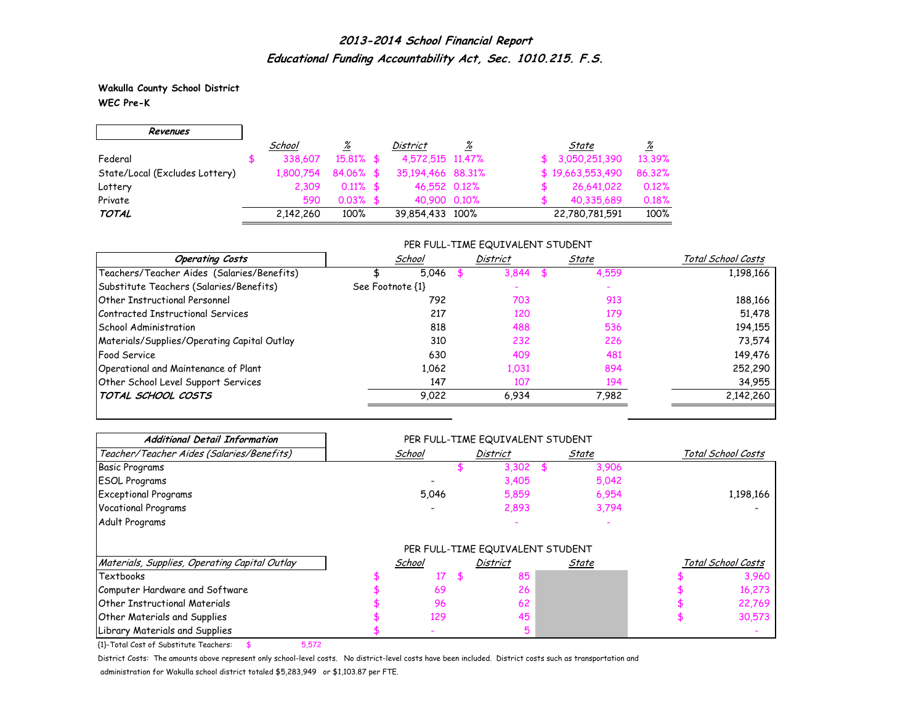**Wakulla County School District WEC Pre-K**

г

| Revenues                       |           |              |                   |          |                  |          |
|--------------------------------|-----------|--------------|-------------------|----------|------------------|----------|
|                                | School    | <u>%</u>     | <b>District</b>   | <u>%</u> | State            | <u>%</u> |
| Federal                        | 338,607   | $15.81\%$ \$ | 4,572,515 11,47%  |          | \$3,050,251,390  | 13.39%   |
| State/Local (Excludes Lottery) | 1,800.754 | 84.06% \$    | 35,194,466 88,31% |          | \$19,663,553,490 | 86.32%   |
| Lottery                        | 2.309     | $0.11\%$ \$  | 46,552 0.12%      |          | 26,641,022       | 0.12%    |
| Private                        | 590       | $0.03\%$ \$  | 40.900 0.10%      |          | 40,335,689       | 0.18%    |
| <b>TOTAL</b>                   | 2.142.260 | 100%         | 39,854,433 100%   |          | 22,780,781,591   | 100%     |

### PER FULL-TIME EQUIVALENT STUDENT

| <b>Operating Costs</b>                      | School           | <b>District</b> | State | Total School Costs |  |
|---------------------------------------------|------------------|-----------------|-------|--------------------|--|
| Teachers/Teacher Aides (Salaries/Benefits)  | 5.046            | 3,844           | 4,559 | 1,198,166          |  |
| Substitute Teachers (Salaries/Benefits)     | See Footnote {1} |                 |       |                    |  |
| Other Instructional Personnel               | 792              | 703             | 913   | 188,166            |  |
| Contracted Instructional Services           | 217              | 120             | 179   | 51,478             |  |
| School Administration                       | 818              | 488             | 536   | 194,155            |  |
| Materials/Supplies/Operating Capital Outlay | 310              | 232             | 226   | 73,574             |  |
| <b>Food Service</b>                         | 630              | 409             | 481   | 149,476            |  |
| Operational and Maintenance of Plant        | 1.062            | 1,031           | 894   | 252,290            |  |
| Other School Level Support Services         | 147              | 107             | 194   | 34,955             |  |
| TOTAL SCHOOL COSTS                          | 9,022            | 6,934           | 7,982 | 2,142,260          |  |

| <b>Additional Detail Information</b>          |               | PER FULL-TIME EQUIVALENT STUDENT |              |                    |
|-----------------------------------------------|---------------|----------------------------------|--------------|--------------------|
| Teacher/Teacher Aides (Salaries/Benefits)     | <u>School</u> | <b>District</b>                  | <u>State</u> | Total School Costs |
| <b>Basic Programs</b>                         |               | 3,302                            | 3,906        |                    |
| <b>ESOL Programs</b>                          |               | 3,405                            | 5,042        |                    |
| <b>Exceptional Programs</b>                   | 5,046         | 5,859                            | 6,954        | 1,198,166          |
| <b>Vocational Programs</b>                    |               | 2,893                            | 3,794        |                    |
| Adult Programs                                |               |                                  |              |                    |
|                                               |               | PER FULL-TIME EQUIVALENT STUDENT |              |                    |
| Materials, Supplies, Operating Capital Outlay | School        | <b>District</b>                  | State        | Total School Costs |
| Textbooks                                     | 17            | 85                               |              | 3,960              |
| Computer Hardware and Software                | 69            | 26                               |              | 16,273             |
| <b>Other Instructional Materials</b>          | 96            | 62                               |              | 22,769             |
| <b>Other Materials and Supplies</b>           | 129           | 45                               |              | 30,573             |
| Library Materials and Supplies                |               |                                  |              |                    |

{1}-Total Cost of Substitute Teachers: \$ 5,572

District Costs: The amounts above represent only school-level costs. No district-level costs have been included. District costs such as transportation and